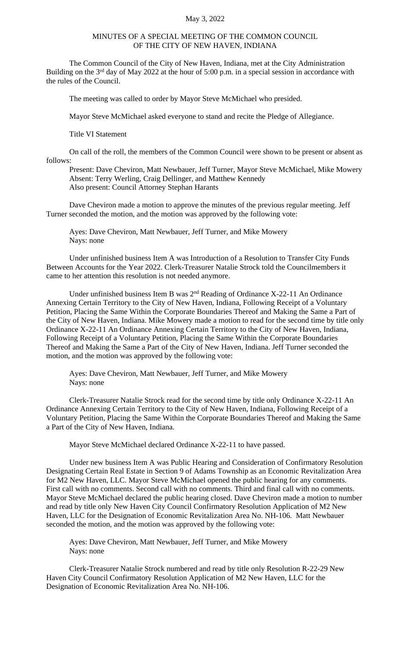## May 3, 2022

## MINUTES OF A SPECIAL MEETING OF THE COMMON COUNCIL OF THE CITY OF NEW HAVEN, INDIANA

The Common Council of the City of New Haven, Indiana, met at the City Administration Building on the 3<sup>rd</sup> day of May 2022 at the hour of 5:00 p.m. in a special session in accordance with the rules of the Council.

The meeting was called to order by Mayor Steve McMichael who presided.

Mayor Steve McMichael asked everyone to stand and recite the Pledge of Allegiance.

Title VI Statement

On call of the roll, the members of the Common Council were shown to be present or absent as follows:

Present: Dave Cheviron, Matt Newbauer, Jeff Turner, Mayor Steve McMichael, Mike Mowery Absent: Terry Werling, Craig Dellinger, and Matthew Kennedy Also present: Council Attorney Stephan Harants

Dave Cheviron made a motion to approve the minutes of the previous regular meeting. Jeff Turner seconded the motion, and the motion was approved by the following vote:

Ayes: Dave Cheviron, Matt Newbauer, Jeff Turner, and Mike Mowery Nays: none

Under unfinished business Item A was Introduction of a Resolution to Transfer City Funds Between Accounts for the Year 2022. Clerk-Treasurer Natalie Strock told the Councilmembers it came to her attention this resolution is not needed anymore.

Under unfinished business Item B was 2<sup>nd</sup> Reading of Ordinance X-22-11 An Ordinance Annexing Certain Territory to the City of New Haven, Indiana, Following Receipt of a Voluntary Petition, Placing the Same Within the Corporate Boundaries Thereof and Making the Same a Part of the City of New Haven, Indiana. Mike Mowery made a motion to read for the second time by title only Ordinance X-22-11 An Ordinance Annexing Certain Territory to the City of New Haven, Indiana, Following Receipt of a Voluntary Petition, Placing the Same Within the Corporate Boundaries Thereof and Making the Same a Part of the City of New Haven, Indiana. Jeff Turner seconded the motion, and the motion was approved by the following vote:

Ayes: Dave Cheviron, Matt Newbauer, Jeff Turner, and Mike Mowery Nays: none

Clerk-Treasurer Natalie Strock read for the second time by title only Ordinance X-22-11 An Ordinance Annexing Certain Territory to the City of New Haven, Indiana, Following Receipt of a Voluntary Petition, Placing the Same Within the Corporate Boundaries Thereof and Making the Same a Part of the City of New Haven, Indiana.

Mayor Steve McMichael declared Ordinance X-22-11 to have passed.

Under new business Item A was Public Hearing and Consideration of Confirmatory Resolution Designating Certain Real Estate in Section 9 of Adams Township as an Economic Revitalization Area for M2 New Haven, LLC. Mayor Steve McMichael opened the public hearing for any comments. First call with no comments. Second call with no comments. Third and final call with no comments. Mayor Steve McMichael declared the public hearing closed. Dave Cheviron made a motion to number and read by title only New Haven City Council Confirmatory Resolution Application of M2 New Haven, LLC for the Designation of Economic Revitalization Area No. NH-106. Matt Newbauer seconded the motion, and the motion was approved by the following vote:

Ayes: Dave Cheviron, Matt Newbauer, Jeff Turner, and Mike Mowery Nays: none

Clerk-Treasurer Natalie Strock numbered and read by title only Resolution R-22-29 New Haven City Council Confirmatory Resolution Application of M2 New Haven, LLC for the Designation of Economic Revitalization Area No. NH-106.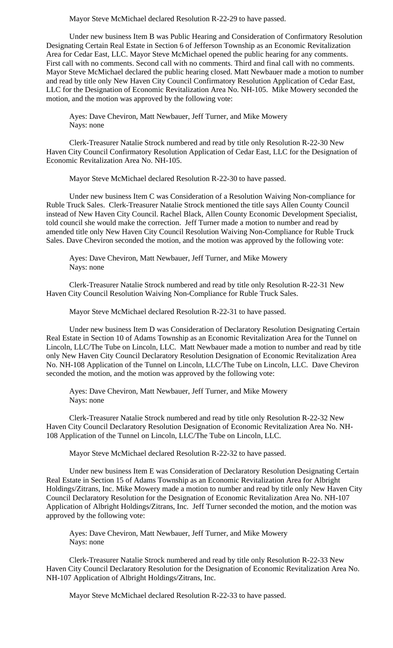Mayor Steve McMichael declared Resolution R-22-29 to have passed.

Under new business Item B was Public Hearing and Consideration of Confirmatory Resolution Designating Certain Real Estate in Section 6 of Jefferson Township as an Economic Revitalization Area for Cedar East, LLC. Mayor Steve McMichael opened the public hearing for any comments. First call with no comments. Second call with no comments. Third and final call with no comments. Mayor Steve McMichael declared the public hearing closed. Matt Newbauer made a motion to number and read by title only New Haven City Council Confirmatory Resolution Application of Cedar East, LLC for the Designation of Economic Revitalization Area No. NH-105. Mike Mowery seconded the motion, and the motion was approved by the following vote:

Ayes: Dave Cheviron, Matt Newbauer, Jeff Turner, and Mike Mowery Nays: none

Clerk-Treasurer Natalie Strock numbered and read by title only Resolution R-22-30 New Haven City Council Confirmatory Resolution Application of Cedar East, LLC for the Designation of Economic Revitalization Area No. NH-105.

Mayor Steve McMichael declared Resolution R-22-30 to have passed.

Under new business Item C was Consideration of a Resolution Waiving Non-compliance for Ruble Truck Sales. Clerk-Treasurer Natalie Strock mentioned the title says Allen County Council instead of New Haven City Council. Rachel Black, Allen County Economic Development Specialist, told council she would make the correction. Jeff Turner made a motion to number and read by amended title only New Haven City Council Resolution Waiving Non-Compliance for Ruble Truck Sales. Dave Cheviron seconded the motion, and the motion was approved by the following vote:

Ayes: Dave Cheviron, Matt Newbauer, Jeff Turner, and Mike Mowery Nays: none

Clerk-Treasurer Natalie Strock numbered and read by title only Resolution R-22-31 New Haven City Council Resolution Waiving Non-Compliance for Ruble Truck Sales.

Mayor Steve McMichael declared Resolution R-22-31 to have passed.

Under new business Item D was Consideration of Declaratory Resolution Designating Certain Real Estate in Section 10 of Adams Township as an Economic Revitalization Area for the Tunnel on Lincoln, LLC/The Tube on Lincoln, LLC. Matt Newbauer made a motion to number and read by title only New Haven City Council Declaratory Resolution Designation of Economic Revitalization Area No. NH-108 Application of the Tunnel on Lincoln, LLC/The Tube on Lincoln, LLC. Dave Cheviron seconded the motion, and the motion was approved by the following vote:

Ayes: Dave Cheviron, Matt Newbauer, Jeff Turner, and Mike Mowery Nays: none

Clerk-Treasurer Natalie Strock numbered and read by title only Resolution R-22-32 New Haven City Council Declaratory Resolution Designation of Economic Revitalization Area No. NH-108 Application of the Tunnel on Lincoln, LLC/The Tube on Lincoln, LLC.

Mayor Steve McMichael declared Resolution R-22-32 to have passed.

Under new business Item E was Consideration of Declaratory Resolution Designating Certain Real Estate in Section 15 of Adams Township as an Economic Revitalization Area for Albright Holdings/Zitrans, Inc. Mike Mowery made a motion to number and read by title only New Haven City Council Declaratory Resolution for the Designation of Economic Revitalization Area No. NH-107 Application of Albright Holdings/Zitrans, Inc. Jeff Turner seconded the motion, and the motion was approved by the following vote:

Ayes: Dave Cheviron, Matt Newbauer, Jeff Turner, and Mike Mowery Nays: none

Clerk-Treasurer Natalie Strock numbered and read by title only Resolution R-22-33 New Haven City Council Declaratory Resolution for the Designation of Economic Revitalization Area No. NH-107 Application of Albright Holdings/Zitrans, Inc.

Mayor Steve McMichael declared Resolution R-22-33 to have passed.